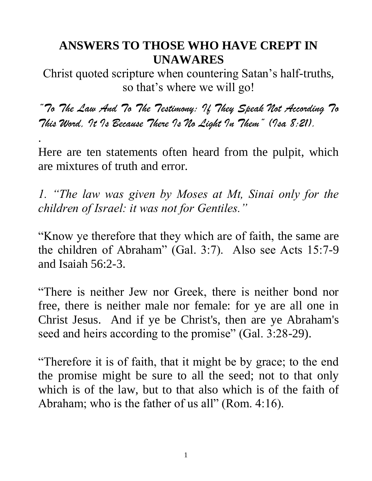## **ANSWERS TO THOSE WHO HAVE CREPT IN UNAWARES**

Christ quoted scripture when countering Satan's half-truths, so that's where we will go!

*"To The Law And To The Testimony: If They Speak Not According To This Word, It Is Because There Is No Light In Them" (Isa 8:21).*

Here are ten statements often heard from the pulpit, which are mixtures of truth and error.

.

*1. "The law was given by Moses at Mt, Sinai only for the children of Israel: it was not for Gentiles."*

"Know ye therefore that they which are of faith, the same are the children of Abraham" (Gal. 3:7). Also see Acts 15:7-9 and Isaiah 56:2-3.

"There is neither Jew nor Greek, there is neither bond nor free, there is neither male nor female: for ye are all one in Christ Jesus. And if ye be Christ's, then are ye Abraham's seed and heirs according to the promise" (Gal. 3:28-29).

"Therefore it is of faith, that it might be by grace; to the end the promise might be sure to all the seed; not to that only which is of the law, but to that also which is of the faith of Abraham; who is the father of us all" (Rom. 4:16).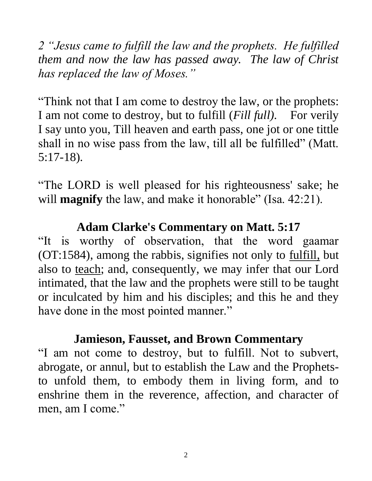*2 "Jesus came to fulfill the law and the prophets. He fulfilled them and now the law has passed away. The law of Christ has replaced the law of Moses."* 

"Think not that I am come to destroy the law, or the prophets: I am not come to destroy, but to fulfill (*Fill full).* For verily I say unto you, Till heaven and earth pass, one jot or one tittle shall in no wise pass from the law, till all be fulfilled" (Matt. 5:17-18).

"The LORD is well pleased for his righteousness' sake; he will **magnify** the law, and make it honorable" (Isa. 42:21).

### **Adam Clarke's Commentary on Matt. 5:17**

"It is worthy of observation, that the word gaamar (OT:1584), among the rabbis, signifies not only to fulfill, but also to teach; and, consequently, we may infer that our Lord intimated, that the law and the prophets were still to be taught or inculcated by him and his disciples; and this he and they have done in the most pointed manner."

### **Jamieson, Fausset, and Brown Commentary**

"I am not come to destroy, but to fulfill. Not to subvert, abrogate, or annul, but to establish the Law and the Prophetsto unfold them, to embody them in living form, and to enshrine them in the reverence, affection, and character of men, am I come."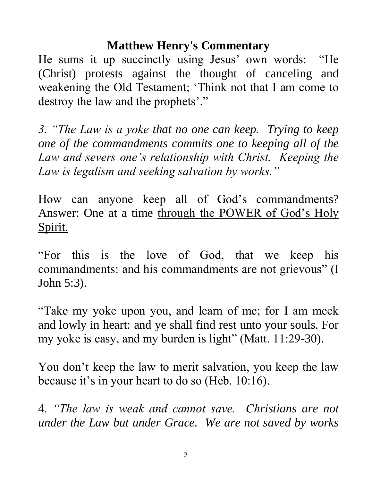### **Matthew Henry's Commentary**

He sums it up succinctly using Jesus' own words: "He (Christ) protests against the thought of canceling and weakening the Old Testament; 'Think not that I am come to destroy the law and the prophets'."

*3. "The Law is a yoke that no one can keep. Trying to keep one of the commandments commits one to keeping all of the Law and severs one's relationship with Christ. Keeping the Law is legalism and seeking salvation by works."* 

How can anyone keep all of God's commandments? Answer: One at a time through the POWER of God's Holy Spirit.

"For this is the love of God, that we keep his commandments: and his commandments are not grievous" (I John 5:3).

"Take my yoke upon you, and learn of me; for I am meek and lowly in heart: and ye shall find rest unto your souls. For my yoke is easy, and my burden is light" (Matt. 11:29-30).

You don't keep the law to merit salvation, you keep the law because it's in your heart to do so (Heb. 10:16).

4*. "The law is weak and cannot save. Christians are not under the Law but under Grace. We are not saved by works* 

3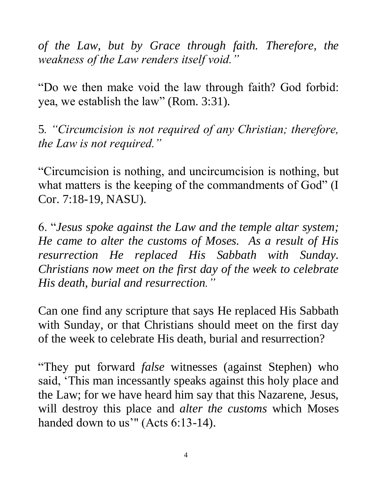*of the Law, but by Grace through faith. Therefore, the weakness of the Law renders itself void."*

"Do we then make void the law through faith? God forbid: yea, we establish the law" (Rom. 3:31).

5*. "Circumcision is not required of any Christian; therefore, the Law is not required."*

"Circumcision is nothing, and uncircumcision is nothing, but what matters is the keeping of the commandments of God" (I Cor. 7:18-19, NASU).

6. "*Jesus spoke against the Law and the temple altar system; He came to alter the customs of Moses. As a result of His resurrection He replaced His Sabbath with Sunday. Christians now meet on the first day of the week to celebrate His death, burial and resurrection."*

Can one find any scripture that says He replaced His Sabbath with Sunday, or that Christians should meet on the first day of the week to celebrate His death, burial and resurrection?

"They put forward *false* witnesses (against Stephen) who said, 'This man incessantly speaks against this holy place and the Law; for we have heard him say that this Nazarene, Jesus, will destroy this place and *alter the customs* which Moses handed down to us'" (Acts 6:13-14).

4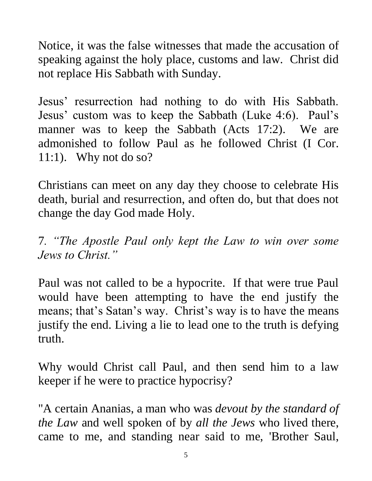Notice, it was the false witnesses that made the accusation of speaking against the holy place, customs and law. Christ did not replace His Sabbath with Sunday.

Jesus' resurrection had nothing to do with His Sabbath. Jesus' custom was to keep the Sabbath (Luke 4:6). Paul's manner was to keep the Sabbath (Acts 17:2). We are admonished to follow Paul as he followed Christ (I Cor. 11:1). Why not do so?

Christians can meet on any day they choose to celebrate His death, burial and resurrection, and often do, but that does not change the day God made Holy.

7*. "The Apostle Paul only kept the Law to win over some Jews to Christ."*

Paul was not called to be a hypocrite. If that were true Paul would have been attempting to have the end justify the means; that's Satan's way. Christ's way is to have the means justify the end. Living a lie to lead one to the truth is defying truth.

Why would Christ call Paul, and then send him to a law keeper if he were to practice hypocrisy?

"A certain Ananias, a man who was *devout by the standard of the Law* and well spoken of by *all the Jews* who lived there, came to me, and standing near said to me, 'Brother Saul,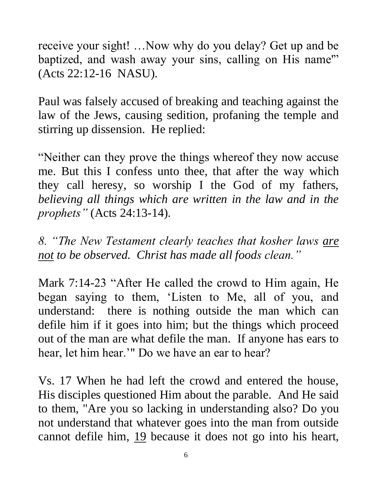receive your sight! …Now why do you delay? Get up and be baptized, and wash away your sins, calling on His name" (Acts 22:12-16 NASU).

Paul was falsely accused of breaking and teaching against the law of the Jews, causing sedition, profaning the temple and stirring up dissension. He replied:

"Neither can they prove the things whereof they now accuse me. But this I confess unto thee, that after the way which they call heresy, so worship I the God of my fathers, *believing all things which are written in the law and in the prophets"* (Acts 24:13-14).

*8. "The New Testament clearly teaches that kosher laws are not to be observed. Christ has made all foods clean."*

Mark 7:14-23 "After He called the crowd to Him again, He began saying to them, 'Listen to Me, all of you, and understand: there is nothing outside the man which can defile him if it goes into him; but the things which proceed out of the man are what defile the man. If anyone has ears to hear, let him hear.'" Do we have an ear to hear?

Vs. 17 When he had left the crowd and entered the house, His disciples questioned Him about the parable. And He said to them, "Are you so lacking in understanding also? Do you not understand that whatever goes into the man from outside cannot defile him, 19 because it does not go into his heart,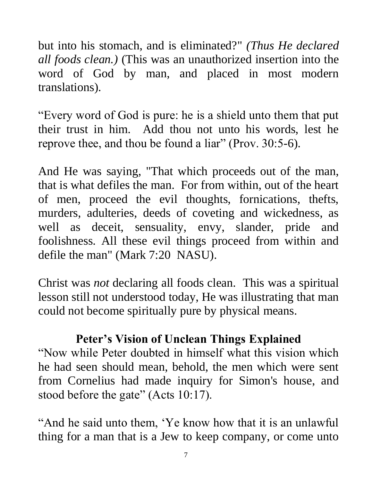but into his stomach, and is eliminated?" *(Thus He declared all foods clean.)* (This was an unauthorized insertion into the word of God by man, and placed in most modern translations).

"Every word of God is pure: he is a shield unto them that put their trust in him. Add thou not unto his words, lest he reprove thee, and thou be found a liar" (Prov. 30:5-6).

And He was saying, "That which proceeds out of the man, that is what defiles the man. For from within, out of the heart of men, proceed the evil thoughts, fornications, thefts, murders, adulteries, deeds of coveting and wickedness, as well as deceit, sensuality, envy, slander, pride and foolishness. All these evil things proceed from within and defile the man" (Mark 7:20 NASU).

Christ was *not* declaring all foods clean. This was a spiritual lesson still not understood today, He was illustrating that man could not become spiritually pure by physical means.

### **Peter's Vision of Unclean Things Explained**

"Now while Peter doubted in himself what this vision which he had seen should mean, behold, the men which were sent from Cornelius had made inquiry for Simon's house, and stood before the gate" (Acts 10:17).

"And he said unto them, 'Ye know how that it is an unlawful thing for a man that is a Jew to keep company, or come unto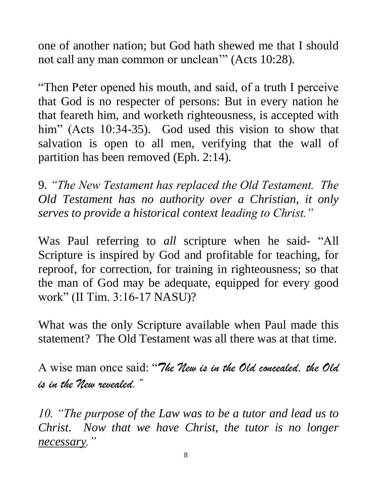one of another nation; but God hath shewed me that I should not call any man common or unclean'" (Acts 10:28).

"Then Peter opened his mouth, and said, of a truth I perceive that God is no respecter of persons: But in every nation he that feareth him, and worketh righteousness, is accepted with him" (Acts 10:34-35). God used this vision to show that salvation is open to all men, verifying that the wall of partition has been removed (Eph. 2:14).

9. *"The New Testament has replaced the Old Testament. The Old Testament has no authority over a Christian, it only serves to provide a historical context leading to Christ."*

Was Paul referring to *all* scripture when he said- "All Scripture is inspired by God and profitable for teaching, for reproof, for correction, for training in righteousness; so that the man of God may be adequate, equipped for every good work" (II Tim. 3:16-17 NASU)?

What was the only Scripture available when Paul made this statement? The Old Testament was all there was at that time.

A wise man once said: "*The New is in the Old concealed, the Old is in the New revealed."*

*10. "The purpose of the Law was to be a tutor and lead us to Christ. Now that we have Christ, the tutor is no longer necessary."*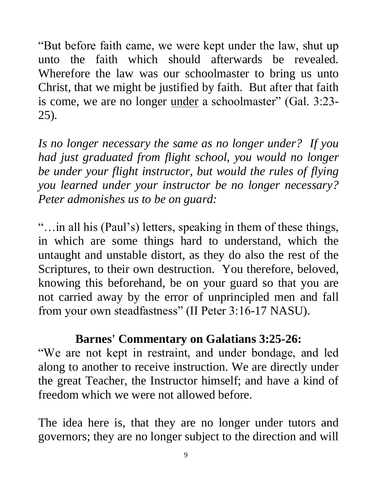"But before faith came, we were kept under the law, shut up unto the faith which should afterwards be revealed. Wherefore the law was our schoolmaster to bring us unto Christ, that we might be justified by faith. But after that faith is come, we are no longer <u>under</u> a schoolmaster" (Gal. 3:23-25).

*Is no longer necessary the same as no longer under? If you had just graduated from flight school, you would no longer be under your flight instructor, but would the rules of flying you learned under your instructor be no longer necessary? Peter admonishes us to be on guard:*

"…in all his (Paul's) letters, speaking in them of these things, in which are some things hard to understand, which the untaught and unstable distort, as they do also the rest of the Scriptures, to their own destruction. You therefore, beloved, knowing this beforehand, be on your guard so that you are not carried away by the error of unprincipled men and fall from your own steadfastness" (II Peter 3:16-17 NASU).

### **Barnes' Commentary on Galatians 3:25-26:**

"We are not kept in restraint, and under bondage, and led along to another to receive instruction. We are directly under the great Teacher, the Instructor himself; and have a kind of freedom which we were not allowed before.

The idea here is, that they are no longer under tutors and governors; they are no longer subject to the direction and will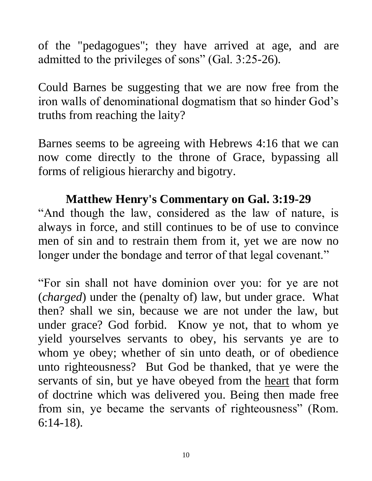of the "pedagogues"; they have arrived at age, and are admitted to the privileges of sons" (Gal. 3:25-26).

Could Barnes be suggesting that we are now free from the iron walls of denominational dogmatism that so hinder God's truths from reaching the laity?

Barnes seems to be agreeing with Hebrews 4:16 that we can now come directly to the throne of Grace, bypassing all forms of religious hierarchy and bigotry.

### **Matthew Henry's Commentary on Gal. 3:19-29**

"And though the law, considered as the law of nature, is always in force, and still continues to be of use to convince men of sin and to restrain them from it, yet we are now no longer under the bondage and terror of that legal covenant."

"For sin shall not have dominion over you: for ye are not (*charged*) under the (penalty of) law, but under grace. What then? shall we sin, because we are not under the law, but under grace? God forbid. Know ye not, that to whom ye yield yourselves servants to obey, his servants ye are to whom ye obey; whether of sin unto death, or of obedience unto righteousness? But God be thanked, that ye were the servants of sin, but ye have obeyed from the heart that form of doctrine which was delivered you. Being then made free from sin, ye became the servants of righteousness" (Rom. 6:14-18).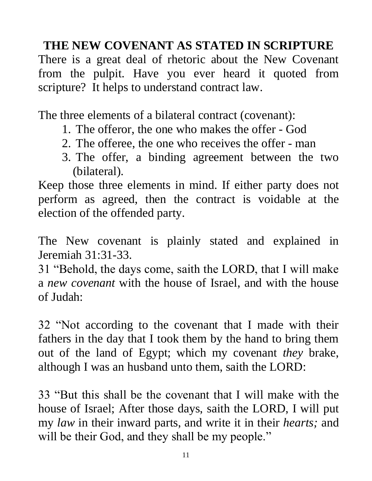# **THE NEW COVENANT AS STATED IN SCRIPTURE**

There is a great deal of rhetoric about the New Covenant from the pulpit. Have you ever heard it quoted from scripture? It helps to understand contract law.

The three elements of a bilateral contract (covenant):

- 1. The offeror, the one who makes the offer God
- 2. The offeree, the one who receives the offer man
- 3. The offer, a binding agreement between the two (bilateral).

Keep those three elements in mind. If either party does not perform as agreed, then the contract is voidable at the election of the offended party.

The New covenant is plainly stated and explained in Jeremiah 31:31-33.

31 "Behold, the days come, saith the LORD, that I will make a *new covenant* with the house of Israel, and with the house of Judah:

32 "Not according to the covenant that I made with their fathers in the day that I took them by the hand to bring them out of the land of Egypt; which my covenant *they* brake, although I was an husband unto them, saith the LORD:

33 "But this shall be the covenant that I will make with the house of Israel; After those days, saith the LORD, I will put my *law* in their inward parts, and write it in their *hearts;* and will be their God, and they shall be my people."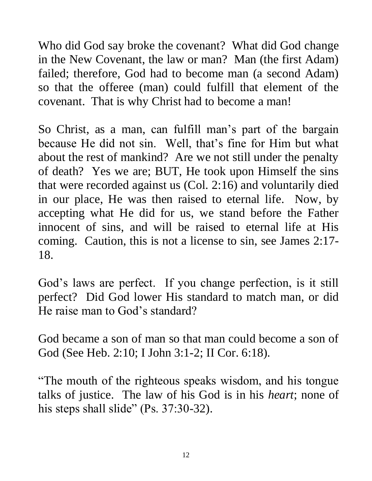Who did God say broke the covenant? What did God change in the New Covenant, the law or man? Man (the first Adam) failed; therefore, God had to become man (a second Adam) so that the offeree (man) could fulfill that element of the covenant. That is why Christ had to become a man!

So Christ, as a man, can fulfill man's part of the bargain because He did not sin. Well, that's fine for Him but what about the rest of mankind? Are we not still under the penalty of death? Yes we are; BUT, He took upon Himself the sins that were recorded against us (Col. 2:16) and voluntarily died in our place, He was then raised to eternal life. Now, by accepting what He did for us, we stand before the Father innocent of sins, and will be raised to eternal life at His coming. Caution, this is not a license to sin, see James 2:17- 18.

God's laws are perfect. If you change perfection, is it still perfect? Did God lower His standard to match man, or did He raise man to God's standard?

God became a son of man so that man could become a son of God (See Heb. 2:10; I John 3:1-2; II Cor. 6:18).

"The mouth of the righteous speaks wisdom, and his tongue talks of justice. The law of his God is in his *heart*; none of his steps shall slide" (Ps. 37:30-32).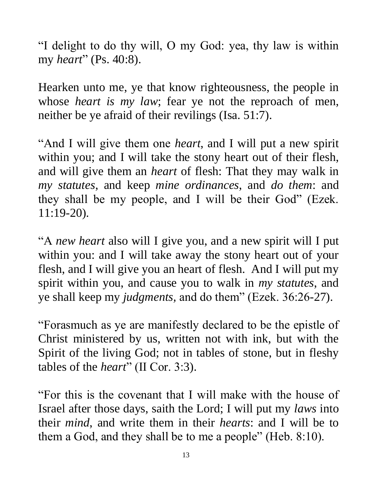"I delight to do thy will, O my God: yea, thy law is within my *heart*" (Ps. 40:8).

Hearken unto me, ye that know righteousness, the people in whose *heart is my law*; fear ye not the reproach of men, neither be ye afraid of their revilings (Isa. 51:7).

"And I will give them one *heart*, and I will put a new spirit within you; and I will take the stony heart out of their flesh, and will give them an *heart* of flesh: That they may walk in *my statutes*, and keep *mine ordinances*, and *do them*: and they shall be my people, and I will be their God" (Ezek. 11:19-20).

"A *new heart* also will I give you, and a new spirit will I put within you: and I will take away the stony heart out of your flesh, and I will give you an heart of flesh. And I will put my spirit within you, and cause you to walk in *my statutes*, and ye shall keep my *judgments,* and do them" (Ezek. 36:26-27).

"Forasmuch as ye are manifestly declared to be the epistle of Christ ministered by us, written not with ink, but with the Spirit of the living God; not in tables of stone, but in fleshy tables of the *heart*" (II Cor. 3:3).

"For this is the covenant that I will make with the house of Israel after those days, saith the Lord; I will put my *laws* into their *mind*, and write them in their *hearts*: and I will be to them a God, and they shall be to me a people" (Heb. 8:10).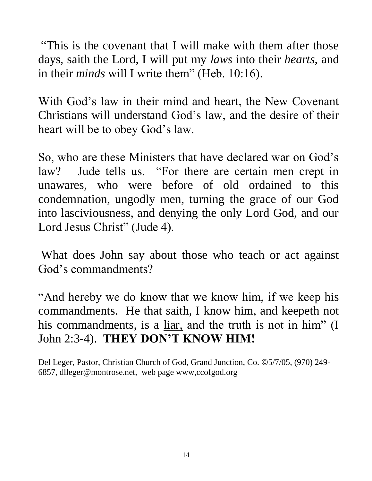"This is the covenant that I will make with them after those days, saith the Lord, I will put my *laws* into their *hearts,* and in their *minds* will I write them" (Heb. 10:16).

With God's law in their mind and heart, the New Covenant Christians will understand God's law, and the desire of their heart will be to obey God's law.

So, who are these Ministers that have declared war on God's law? Jude tells us. "For there are certain men crept in unawares, who were before of old ordained to this condemnation, ungodly men, turning the grace of our God into lasciviousness, and denying the only Lord God, and our Lord Jesus Christ" (Jude 4).

What does John say about those who teach or act against God's commandments?

"And hereby we do know that we know him, if we keep his commandments. He that saith, I know him, and keepeth not his commandments, is a <u>liar</u>, and the truth is not in him" (I John 2:3-4). **THEY DON'T KNOW HIM!**

Del Leger, Pastor, Christian Church of God, Grand Junction, Co. ©5/7/05, (970) 249-6857, dlleger@montrose.net, web page www,ccofgod.org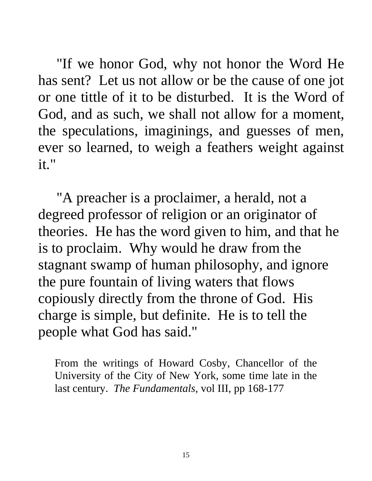"If we honor God, why not honor the Word He has sent? Let us not allow or be the cause of one jot or one tittle of it to be disturbed. It is the Word of God, and as such, we shall not allow for a moment, the speculations, imaginings, and guesses of men, ever so learned, to weigh a feathers weight against it."

 "A preacher is a proclaimer, a herald, not a degreed professor of religion or an originator of theories. He has the word given to him, and that he is to proclaim. Why would he draw from the stagnant swamp of human philosophy, and ignore the pure fountain of living waters that flows copiously directly from the throne of God. His charge is simple, but definite. He is to tell the people what God has said."

From the writings of Howard Cosby, Chancellor of the University of the City of New York, some time late in the last century. *The Fundamentals,* vol III, pp 168-177